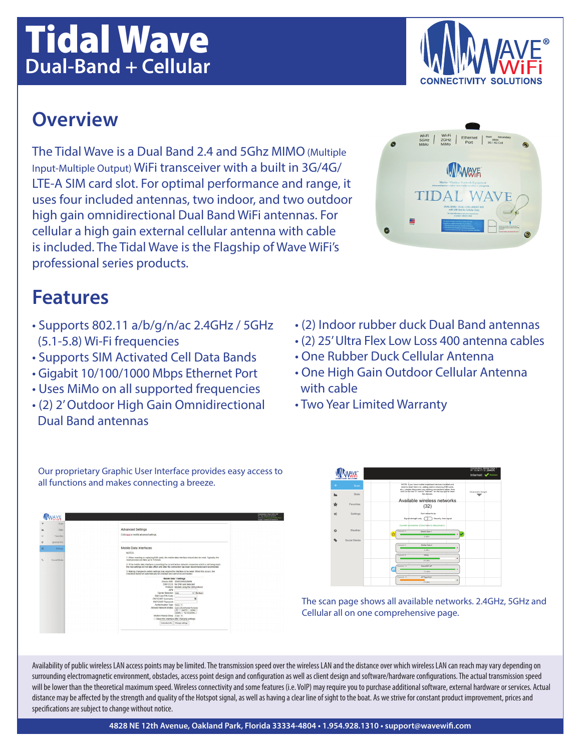#### **4828 NE 12th Avenue, Oakland Park, Florida 33334-4804 • 1.954.928.1310 • support@wavewifi.com**

# Tidal Wave **Dual-Band + Cellular**

### **Overview**

The Tidal Wave is a Dual Band 2.4 and 5Ghz MIMO (Multiple Input-Multiple Output) WiFi transceiver with a built in 3G/4G/ LTE-A SIM card slot. For optimal performance and range, it uses four included antennas, two indoor, and two outdoor high gain omnidirectional Dual Band WiFi antennas. For cellular a high gain external cellular antenna with cable is included. The Tidal Wave is the Flagship of Wave WiFi's professional series products.

## **Features**

- Supports 802.11 a/b/g/n/ac 2.4GHz / 5GHz (5.1-5.8) Wi-Fi frequencies
- Supports SIM Activated Cell Data Bands
- Gigabit 10/100/1000 Mbps Ethernet Port
- Uses MiMo on all supported frequencies
- (2) 2' Outdoor High Gain Omnidirectional Dual Band antennas

all functions and makes connecting a breeze.

• (2) Indoor rubber duck Dual Band antennas

- (2) 25' Ultra Flex Low Loss 400 antenna cables
- One Rubber Duck Cellular Antenna
- One High Gain Outdoor Cellular Antenna with cable
- Two Year Limited Warranty



Availability of public wireless LAN access points may be limited. The transmission speed over the wireless LAN and the distance over which wireless LAN can reach may vary depending on surrounding electromagnetic environment, obstacles, access point design and configuration as well as client design and software/hardware configurations. The actual transmission speed will be lower than the theoretical maximum speed. Wireless connectivity and some features (i.e. VoIP) may require you to purchase additional software, external hardware or services. Actual distance may be affected by the strength and quality of the Hotspot signal, as well as having a clear line of sight to the boat. As we strive for constant product improvement, prices and specifications are subject to change without notice.



Our proprietary Graphic User Interface provides easy access to